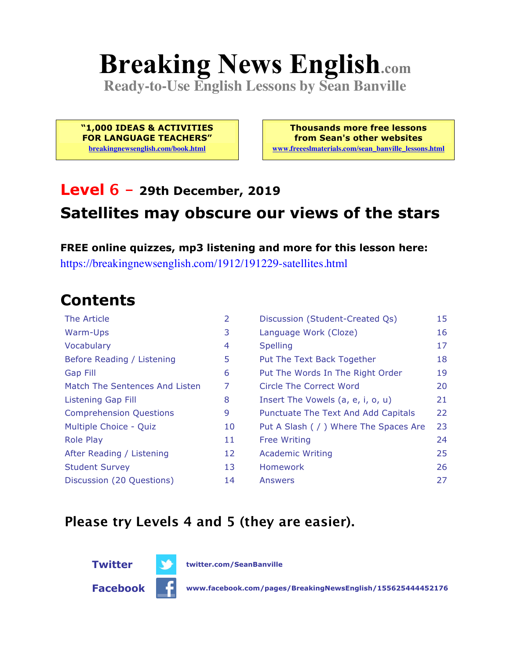# **Breaking News English.com**

**Ready-to-Use English Lessons by Sean Banville**

**"1,000 IDEAS & ACTIVITIES FOR LANGUAGE TEACHERS" breakingnewsenglish.com/book.html**

**Thousands more free lessons from Sean's other websites www.freeeslmaterials.com/sean\_banville\_lessons.html**

### **Level 6 - 29th December, 2019 Satellites may obscure our views of the stars**

**FREE online quizzes, mp3 listening and more for this lesson here:** https://breakingnewsenglish.com/1912/191229-satellites.html

### **Contents**

| The Article                    | 2  | Discussion (Student-Created Qs)        | 15 |
|--------------------------------|----|----------------------------------------|----|
| Warm-Ups                       | 3  | Language Work (Cloze)                  | 16 |
| Vocabulary                     | 4  | <b>Spelling</b>                        | 17 |
| Before Reading / Listening     | 5  | Put The Text Back Together             | 18 |
| Gap Fill                       | 6  | Put The Words In The Right Order       | 19 |
| Match The Sentences And Listen | 7  | Circle The Correct Word                | 20 |
| Listening Gap Fill             | 8  | Insert The Vowels (a, e, i, o, u)      | 21 |
| <b>Comprehension Questions</b> | 9  | Punctuate The Text And Add Capitals    | 22 |
| Multiple Choice - Quiz         | 10 | Put A Slash ( / ) Where The Spaces Are | 23 |
| <b>Role Play</b>               | 11 | <b>Free Writing</b>                    | 24 |
| After Reading / Listening      | 12 | <b>Academic Writing</b>                | 25 |
| <b>Student Survey</b>          | 13 | Homework                               | 26 |
| Discussion (20 Questions)      | 14 | Answers                                | 27 |

#### **Please try Levels 4 and 5 (they are easier).**



**Facebook www.facebook.com/pages/BreakingNewsEnglish/155625444452176**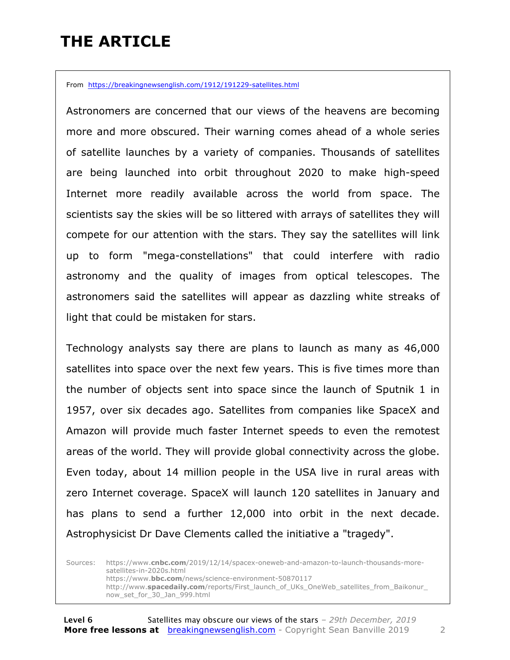### **THE ARTICLE**

From https://breakingnewsenglish.com/1912/191229-satellites.html

Astronomers are concerned that our views of the heavens are becoming more and more obscured. Their warning comes ahead of a whole series of satellite launches by a variety of companies. Thousands of satellites are being launched into orbit throughout 2020 to make high-speed Internet more readily available across the world from space. The scientists say the skies will be so littered with arrays of satellites they will compete for our attention with the stars. They say the satellites will link up to form "mega-constellations" that could interfere with radio astronomy and the quality of images from optical telescopes. The astronomers said the satellites will appear as dazzling white streaks of light that could be mistaken for stars.

Technology analysts say there are plans to launch as many as 46,000 satellites into space over the next few years. This is five times more than the number of objects sent into space since the launch of Sputnik 1 in 1957, over six decades ago. Satellites from companies like SpaceX and Amazon will provide much faster Internet speeds to even the remotest areas of the world. They will provide global connectivity across the globe. Even today, about 14 million people in the USA live in rural areas with zero Internet coverage. SpaceX will launch 120 satellites in January and has plans to send a further 12,000 into orbit in the next decade. Astrophysicist Dr Dave Clements called the initiative a "tragedy".

Sources: https://www.**cnbc.com**/2019/12/14/spacex-oneweb-and-amazon-to-launch-thousands-moresatellites-in-2020s.html https://www.**bbc.com**/news/science-environment-50870117 http://www.**spacedaily.com**/reports/First\_launch\_of\_UKs\_OneWeb\_satellites\_from\_Baikonur\_ now\_set\_for\_30\_Jan\_999.html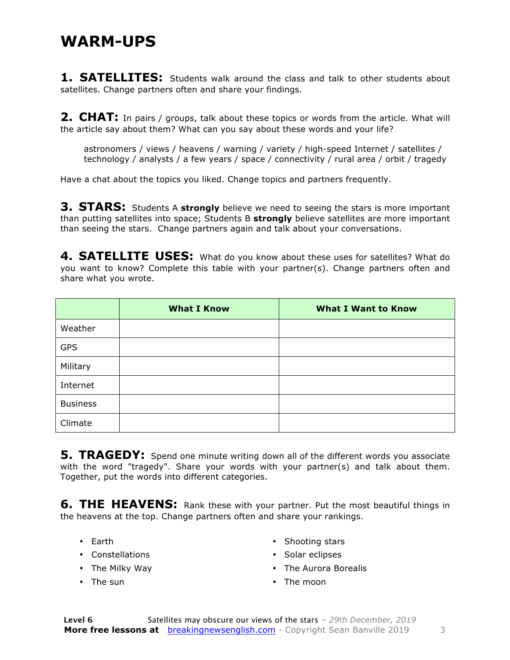#### **WARM-UPS**

**1. SATELLITES:** Students walk around the class and talk to other students about satellites. Change partners often and share your findings.

**2. CHAT:** In pairs / groups, talk about these topics or words from the article. What will the article say about them? What can you say about these words and your life?

astronomers / views / heavens / warning / variety / high-speed Internet / satellites / technology / analysts / a few years / space / connectivity / rural area / orbit / tragedy

Have a chat about the topics you liked. Change topics and partners frequently.

**3. STARS:** Students A **strongly** believe we need to seeing the stars is more important than putting satellites into space; Students B **strongly** believe satellites are more important than seeing the stars. Change partners again and talk about your conversations.

**4. SATELLITE USES:** What do you know about these uses for satellites? What do you want to know? Complete this table with your partner(s). Change partners often and share what you wrote.

|                 | <b>What I Know</b> | <b>What I Want to Know</b> |
|-----------------|--------------------|----------------------------|
| Weather         |                    |                            |
| <b>GPS</b>      |                    |                            |
| Military        |                    |                            |
| Internet        |                    |                            |
| <b>Business</b> |                    |                            |
| Climate         |                    |                            |

**5. TRAGEDY:** Spend one minute writing down all of the different words you associate with the word "tragedy". Share your words with your partner(s) and talk about them. Together, put the words into different categories.

**6. THE HEAVENS:** Rank these with your partner. Put the most beautiful things in the heavens at the top. Change partners often and share your rankings.

- Earth
- Constellations
- The Milky Way
- The sun
- Shooting stars
- Solar eclipses
- The Aurora Borealis
- The moon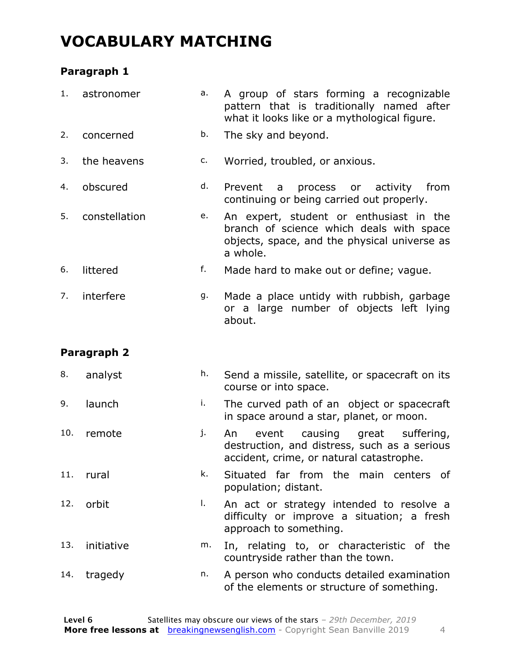### **VOCABULARY MATCHING**

#### **Paragraph 1**

| 1.  | astronomer    | a. | A group of stars forming a recognizable<br>pattern that is traditionally named after<br>what it looks like or a mythological figure.            |
|-----|---------------|----|-------------------------------------------------------------------------------------------------------------------------------------------------|
| 2.  | concerned     | b. | The sky and beyond.                                                                                                                             |
| 3.  | the heavens   | c. | Worried, troubled, or anxious.                                                                                                                  |
| 4.  | obscured      | d. | Prevent<br>process<br>or activity from<br>$\overline{a}$<br>continuing or being carried out properly.                                           |
| 5.  | constellation | e. | An expert, student or enthusiast in the<br>branch of science which deals with space<br>objects, space, and the physical universe as<br>a whole. |
| 6.  | littered      | f. | Made hard to make out or define; vague.                                                                                                         |
| 7.  | interfere     | g. | Made a place untidy with rubbish, garbage<br>or a large number of objects left lying<br>about.                                                  |
|     | Paragraph 2   |    |                                                                                                                                                 |
| 8.  | analyst       | h. | Send a missile, satellite, or spacecraft on its<br>course or into space.                                                                        |
| 9.  | launch        | i. | The curved path of an object or spacecraft<br>in space around a star, planet, or moon.                                                          |
| 10. | remote        | j. | causing great<br>suffering,<br>event<br>An<br>destruction, and distress, such as a serious<br>accident, crime, or natural catastrophe.          |
| 11. | rural         | k. | Situated far from the main centers of                                                                                                           |
|     |               |    | population; distant.                                                                                                                            |
| 12. | orbit         | Ι. | An act or strategy intended to resolve a<br>difficulty or improve a situation; a fresh<br>approach to something.                                |
| 13. | initiative    | m. | In, relating to, or characteristic of the<br>countryside rather than the town.                                                                  |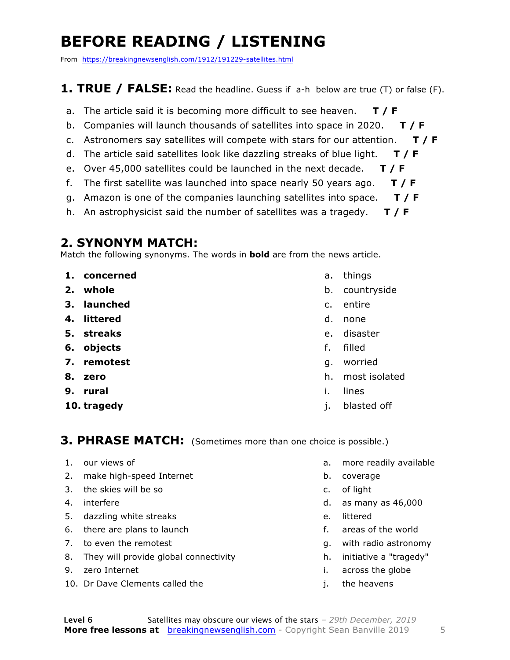### **BEFORE READING / LISTENING**

From https://breakingnewsenglish.com/1912/191229-satellites.html

#### **1. TRUE / FALSE:** Read the headline. Guess if a-h below are true (T) or false (F).

- a. The article said it is becoming more difficult to see heaven. **T / F**
- b. Companies will launch thousands of satellites into space in 2020. **T / F**
- c. Astronomers say satellites will compete with stars for our attention. **T / F**
- d. The article said satellites look like dazzling streaks of blue light. **T / F**
- e. Over 45,000 satellites could be launched in the next decade. **T / F**
- f. The first satellite was launched into space nearly 50 years ago. **T / F**
- g. Amazon is one of the companies launching satellites into space. **T / F**
- h. An astrophysicist said the number of satellites was a tragedy. **T / F**

#### **2. SYNONYM MATCH:**

Match the following synonyms. The words in **bold** are from the news article.

- **1. concerned**
- **2. whole**
- **3. launched**
- **4. littered**
- **5. streaks**
- **6. objects**
- **7. remotest**
- **8. zero**
- **9. rural**
- **10. tragedy**
- a. things
- b. countryside
- c. entire
- d. none
- e. disaster
- f. filled
- g. worried
- h. most isolated
- i. lines
- j. blasted off

#### **3. PHRASE MATCH:** (Sometimes more than one choice is possible.)

- 1. our views of
- 2. make high-speed Internet
- 3. the skies will be so
- 4. interfere
- 5. dazzling white streaks
- 6. there are plans to launch
- 7. to even the remotest
- 8. They will provide global connectivity
- 9. zero Internet
- 10. Dr Dave Clements called the
- a. more readily available
- b. coverage
- c. of light
- d. as many as 46,000
- e. littered
- f. areas of the world
- g. with radio astronomy
- h. initiative a "tragedy"
- i. across the globe
- j. the heavens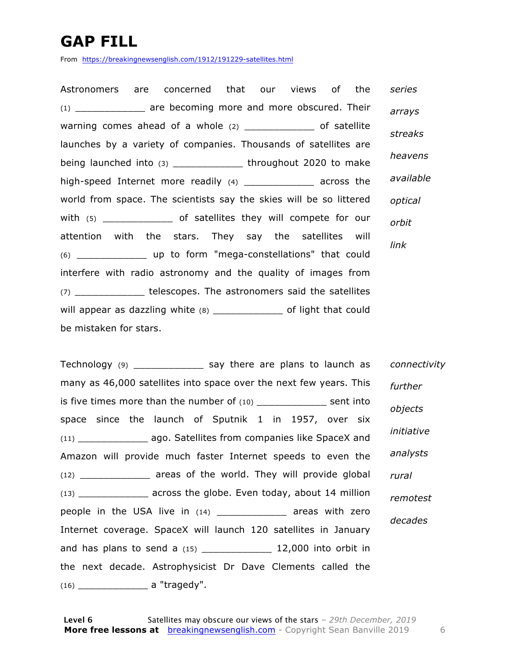### **GAP FILL**

From https://breakingnewsenglish.com/1912/191229-satellites.html

Astronomers are concerned that our views of the (1) \_\_\_\_\_\_\_\_\_\_\_\_ are becoming more and more obscured. Their warning comes ahead of a whole  $(2)$  \_\_\_\_\_\_\_\_\_\_\_\_\_\_ of satellite launches by a variety of companies. Thousands of satellites are being launched into (3) \_\_\_\_\_\_\_\_\_\_\_\_\_\_\_ throughout 2020 to make high-speed Internet more readily (4) across the world from space. The scientists say the skies will be so littered with (5) \_\_\_\_\_\_\_\_\_\_\_\_\_\_\_ of satellites they will compete for our attention with the stars. They say the satellites will (6) \_\_\_\_\_\_\_\_\_\_\_\_ up to form "mega-constellations" that could interfere with radio astronomy and the quality of images from (7) \_\_\_\_\_\_\_\_\_\_\_\_ telescopes. The astronomers said the satellites will appear as dazzling white (8) \_\_\_\_\_\_\_\_\_\_\_\_\_\_\_ of light that could be mistaken for stars. *series arrays streaks heavens available optical orbit link*

Technology (9) \_\_\_\_\_\_\_\_\_\_\_\_ say there are plans to launch as many as 46,000 satellites into space over the next few years. This is five times more than the number of  $(10)$  sent into space since the launch of Sputnik 1 in 1957, over six (11) \_\_\_\_\_\_\_\_\_\_\_\_ ago. Satellites from companies like SpaceX and Amazon will provide much faster Internet speeds to even the (12) \_\_\_\_\_\_\_\_\_\_\_\_ areas of the world. They will provide global (13) \_\_\_\_\_\_\_\_\_\_\_\_ across the globe. Even today, about 14 million people in the USA live in (14) \_\_\_\_\_\_\_\_\_\_\_\_\_\_ areas with zero Internet coverage. SpaceX will launch 120 satellites in January and has plans to send a  $(15)$  \_\_\_\_\_\_\_\_\_\_\_\_\_\_\_\_ 12,000 into orbit in the next decade. Astrophysicist Dr Dave Clements called the (16) \_\_\_\_\_\_\_\_\_\_\_\_ a "tragedy". *connectivity further objects initiative analysts rural remotest decades*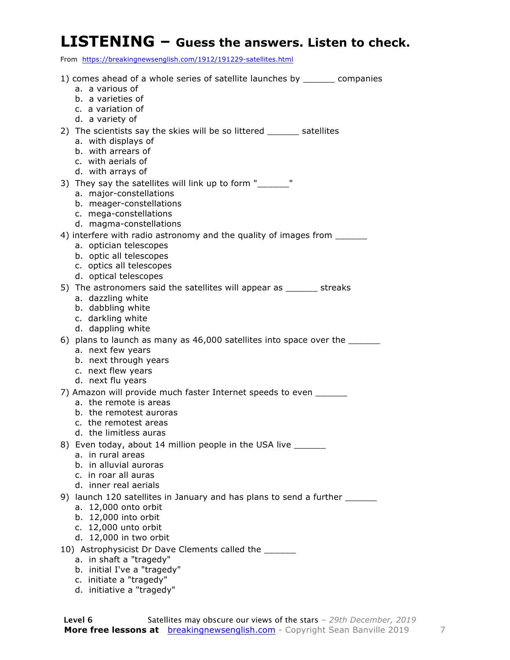#### **LISTENING – Guess the answers. Listen to check.**

From https://breakingnewsenglish.com/1912/191229-satellites.html

| 1) comes ahead of a whole series of satellite launches by ________ companies      |
|-----------------------------------------------------------------------------------|
| a. a various of<br>b. a varieties of                                              |
| c. a variation of                                                                 |
| d. a variety of                                                                   |
| 2) The scientists say the skies will be so littered ______ satellites             |
| a. with displays of                                                               |
| b. with arrears of                                                                |
| c. with aerials of                                                                |
| d. with arrays of                                                                 |
| 3) They say the satellites will link up to form "______"                          |
| a. major-constellations                                                           |
| b. meager-constellations                                                          |
| c. mega-constellations                                                            |
| d. magma-constellations                                                           |
| 4) interfere with radio astronomy and the quality of images from                  |
| a. optician telescopes<br>b. optic all telescopes                                 |
| c. optics all telescopes                                                          |
| d. optical telescopes                                                             |
| 5) The astronomers said the satellites will appear as ______ streaks              |
| a. dazzling white                                                                 |
| b. dabbling white                                                                 |
| c. darkling white                                                                 |
| d. dappling white                                                                 |
| 6) plans to launch as many as 46,000 satellites into space over the _____________ |
| a. next few years                                                                 |
| b. next through years                                                             |
| c. next flew years<br>d. next flu years                                           |
| 7) Amazon will provide much faster Internet speeds to even ______                 |
| a. the remote is areas                                                            |
| b. the remotest auroras                                                           |
| c. the remotest areas                                                             |
| d. the limitless auras                                                            |
| 8) Even today, about 14 million people in the USA live _______                    |
| a. in rural areas                                                                 |
| b. in alluvial auroras                                                            |
| c. in roar all auras                                                              |
| d. inner real aerials                                                             |
| 9) launch 120 satellites in January and has plans to send a further ____________  |
| a. 12,000 onto orbit<br>b. 12,000 into orbit                                      |
| c. 12,000 unto orbit                                                              |
| d. 12,000 in two orbit                                                            |
| 10) Astrophysicist Dr Dave Clements called the ______                             |
| a. in shaft a "tragedy"                                                           |
| b. initial I've a "tragedy"                                                       |
| c. initiate a "tragedy"                                                           |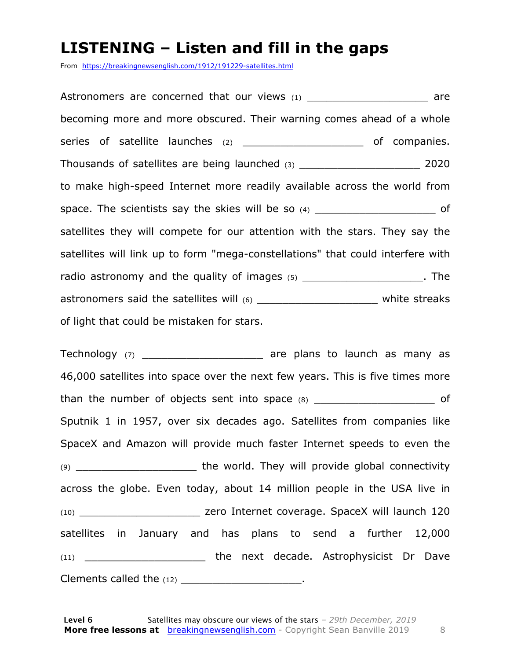#### **LISTENING – Listen and fill in the gaps**

From https://breakingnewsenglish.com/1912/191229-satellites.html

Astronomers are concerned that our views (1) \_\_\_\_\_\_\_\_\_\_\_\_\_\_\_\_\_\_\_\_\_\_ are becoming more and more obscured. Their warning comes ahead of a whole series of satellite launches (2) \_\_\_\_\_\_\_\_\_\_\_\_\_\_\_\_\_\_\_\_\_\_\_\_\_ of companies. Thousands of satellites are being launched (3) \_\_\_\_\_\_\_\_\_\_\_\_\_\_\_\_\_\_\_ 2020 to make high-speed Internet more readily available across the world from space. The scientists say the skies will be so  $(4)$  \_\_\_\_\_\_\_\_\_\_\_\_\_\_\_\_\_\_\_\_\_\_\_\_\_ of satellites they will compete for our attention with the stars. They say the satellites will link up to form "mega-constellations" that could interfere with radio astronomy and the quality of images (5) \_\_\_\_\_\_\_\_\_\_\_\_\_\_\_\_\_\_\_\_\_\_. The astronomers said the satellites will (6) \_\_\_\_\_\_\_\_\_\_\_\_\_\_\_\_\_\_\_\_\_\_\_\_\_\_ white streaks of light that could be mistaken for stars.

Technology  $(7)$  \_\_\_\_\_\_\_\_\_\_\_\_\_\_\_\_\_\_\_\_\_\_\_\_ are plans to launch as many as 46,000 satellites into space over the next few years. This is five times more than the number of objects sent into space  $(8)$  and  $(8)$ Sputnik 1 in 1957, over six decades ago. Satellites from companies like SpaceX and Amazon will provide much faster Internet speeds to even the (9) \_\_\_\_\_\_\_\_\_\_\_\_\_\_\_\_\_\_\_ the world. They will provide global connectivity across the globe. Even today, about 14 million people in the USA live in (10) \_\_\_\_\_\_\_\_\_\_\_\_\_\_\_\_\_\_\_ zero Internet coverage. SpaceX will launch 120 satellites in January and has plans to send a further 12,000 (11) \_\_\_\_\_\_\_\_\_\_\_\_\_\_\_\_\_\_\_ the next decade. Astrophysicist Dr Dave Clements called the  $(12)$  \_\_\_\_\_\_\_\_\_\_\_\_\_\_\_\_\_\_\_\_\_\_\_.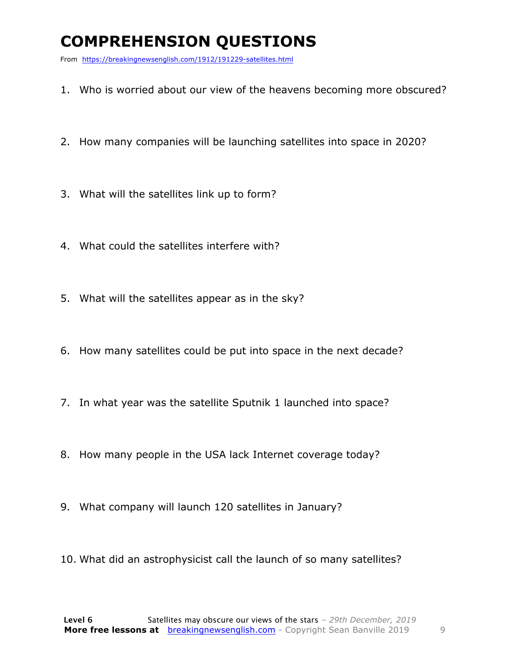### **COMPREHENSION QUESTIONS**

From https://breakingnewsenglish.com/1912/191229-satellites.html

- 1. Who is worried about our view of the heavens becoming more obscured?
- 2. How many companies will be launching satellites into space in 2020?
- 3. What will the satellites link up to form?
- 4. What could the satellites interfere with?
- 5. What will the satellites appear as in the sky?
- 6. How many satellites could be put into space in the next decade?
- 7. In what year was the satellite Sputnik 1 launched into space?
- 8. How many people in the USA lack Internet coverage today?
- 9. What company will launch 120 satellites in January?
- 10. What did an astrophysicist call the launch of so many satellites?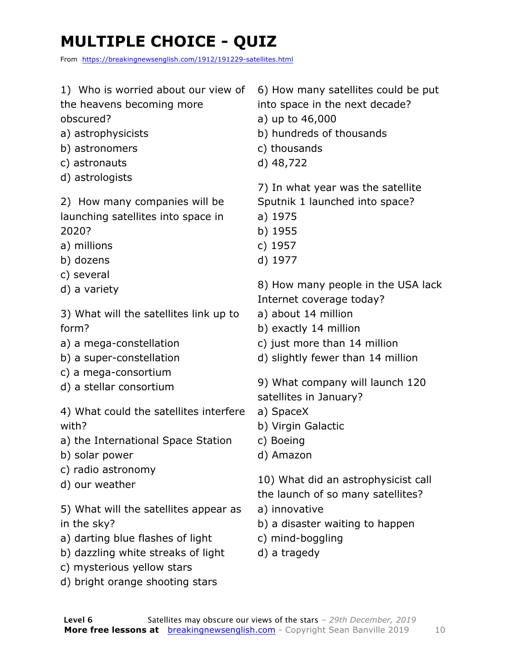## **MULTIPLE CHOICE - QUIZ**

From https://breakingnewsenglish.com/1912/191229-satellites.html

- 1) Who is worried about our view of
- the heavens becoming more obscured?
- a) astrophysicists
- b) astronomers
- c) astronauts
- d) astrologists

2) How many companies will be launching satellites into space in 2020?

- a) millions
- b) dozens
- c) several
- d) a variety

3) What will the satellites link up to form?

- a) a mega-constellation
- b) a super-constellation
- c) a mega-consortium
- d) a stellar consortium

4) What could the satellites interfere with?

- a) the International Space Station
- b) solar power
- c) radio astronomy
- d) our weather

5) What will the satellites appear as in the sky?

- a) darting blue flashes of light
- b) dazzling white streaks of light
- c) mysterious yellow stars
- d) bright orange shooting stars

6) How many satellites could be put into space in the next decade?

- a) up to 46,000
- b) hundreds of thousands
- c) thousands
- d) 48,722

7) In what year was the satellite

Sputnik 1 launched into space?

- a) 1975
- b) 1955
- c) 1957
- d) 1977

8) How many people in the USA lack Internet coverage today?

- a) about 14 million
- b) exactly 14 million
- c) just more than 14 million
- d) slightly fewer than 14 million

9) What company will launch 120 satellites in January?

- a) SpaceX
- b) Virgin Galactic
- c) Boeing
- d) Amazon

10) What did an astrophysicist call

the launch of so many satellites?

- a) innovative
- b) a disaster waiting to happen
- c) mind-boggling
- d) a tragedy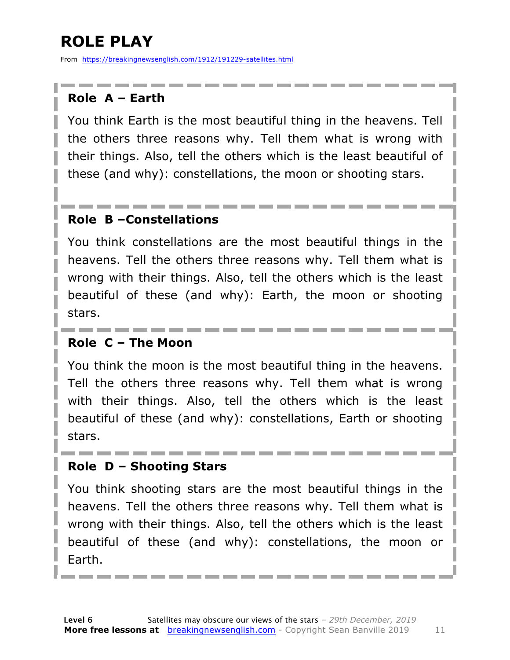### **ROLE PLAY**

From https://breakingnewsenglish.com/1912/191229-satellites.html

#### **Role A – Earth**

You think Earth is the most beautiful thing in the heavens. Tell the others three reasons why. Tell them what is wrong with their things. Also, tell the others which is the least beautiful of these (and why): constellations, the moon or shooting stars.

#### **Role B –Constellations**

You think constellations are the most beautiful things in the heavens. Tell the others three reasons why. Tell them what is wrong with their things. Also, tell the others which is the least beautiful of these (and why): Earth, the moon or shooting stars.

#### **Role C – The Moon**

You think the moon is the most beautiful thing in the heavens. Tell the others three reasons why. Tell them what is wrong with their things. Also, tell the others which is the least beautiful of these (and why): constellations, Earth or shooting stars.

#### **Role D – Shooting Stars**

You think shooting stars are the most beautiful things in the heavens. Tell the others three reasons why. Tell them what is wrong with their things. Also, tell the others which is the least beautiful of these (and why): constellations, the moon or Earth.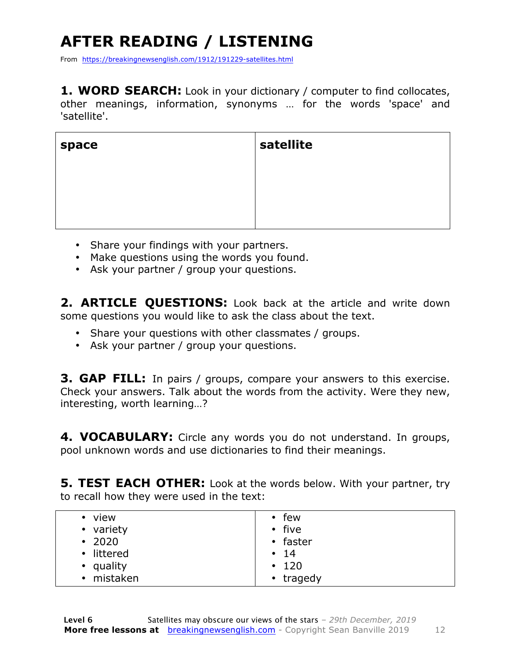## **AFTER READING / LISTENING**

From https://breakingnewsenglish.com/1912/191229-satellites.html

1. WORD SEARCH: Look in your dictionary / computer to find collocates, other meanings, information, synonyms … for the words 'space' and 'satellite'.

| space | satellite |
|-------|-----------|
|       |           |
|       |           |
|       |           |

- Share your findings with your partners.
- Make questions using the words you found.
- Ask your partner / group your questions.

2. **ARTICLE QUESTIONS:** Look back at the article and write down some questions you would like to ask the class about the text.

- Share your questions with other classmates / groups.
- Ask your partner / group your questions.

**3. GAP FILL:** In pairs / groups, compare your answers to this exercise. Check your answers. Talk about the words from the activity. Were they new, interesting, worth learning…?

**4. VOCABULARY:** Circle any words you do not understand. In groups, pool unknown words and use dictionaries to find their meanings.

**5. TEST EACH OTHER:** Look at the words below. With your partner, try to recall how they were used in the text:

| • view       | $\cdot$ few |
|--------------|-------------|
| • variety    | • five      |
| $\cdot$ 2020 | • faster    |
| • littered   | $\cdot$ 14  |
| • quality    | $\cdot$ 120 |
| • mistaken   | • tragedy   |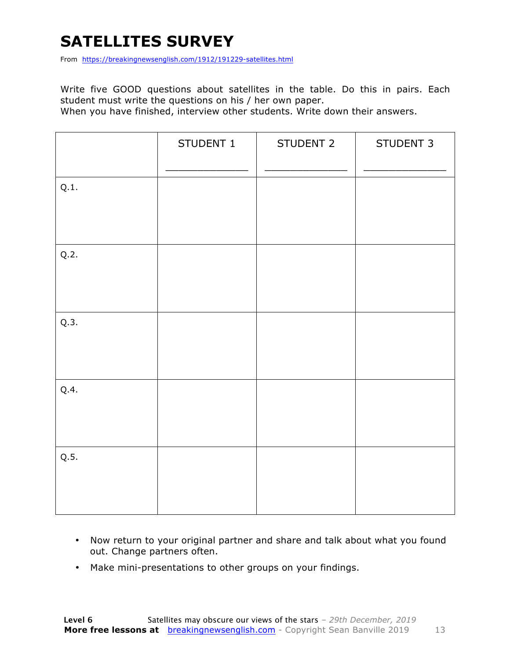### **SATELLITES SURVEY**

From https://breakingnewsenglish.com/1912/191229-satellites.html

Write five GOOD questions about satellites in the table. Do this in pairs. Each student must write the questions on his / her own paper.

When you have finished, interview other students. Write down their answers.

|      | STUDENT 1 | STUDENT 2 | STUDENT 3 |
|------|-----------|-----------|-----------|
| Q.1. |           |           |           |
| Q.2. |           |           |           |
| Q.3. |           |           |           |
| Q.4. |           |           |           |
| Q.5. |           |           |           |

- Now return to your original partner and share and talk about what you found out. Change partners often.
- Make mini-presentations to other groups on your findings.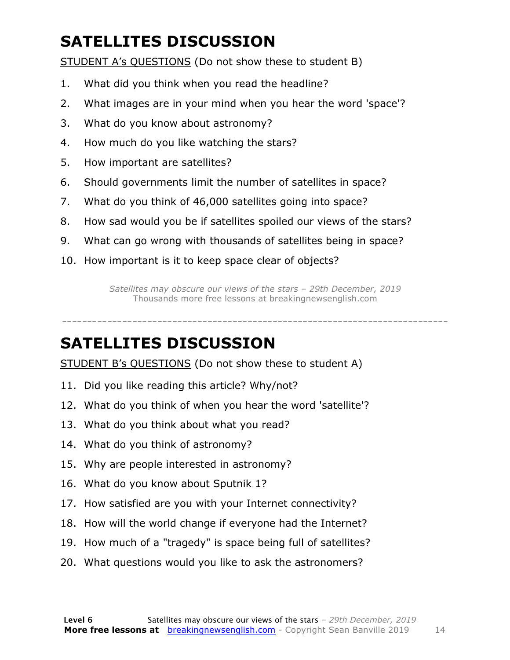### **SATELLITES DISCUSSION**

STUDENT A's QUESTIONS (Do not show these to student B)

- 1. What did you think when you read the headline?
- 2. What images are in your mind when you hear the word 'space'?
- 3. What do you know about astronomy?
- 4. How much do you like watching the stars?
- 5. How important are satellites?
- 6. Should governments limit the number of satellites in space?
- 7. What do you think of 46,000 satellites going into space?
- 8. How sad would you be if satellites spoiled our views of the stars?
- 9. What can go wrong with thousands of satellites being in space?
- 10. How important is it to keep space clear of objects?

*Satellites may obscure our views of the stars – 29th December, 2019* Thousands more free lessons at breakingnewsenglish.com

-----------------------------------------------------------------------------

#### **SATELLITES DISCUSSION**

STUDENT B's QUESTIONS (Do not show these to student A)

- 11. Did you like reading this article? Why/not?
- 12. What do you think of when you hear the word 'satellite'?
- 13. What do you think about what you read?
- 14. What do you think of astronomy?
- 15. Why are people interested in astronomy?
- 16. What do you know about Sputnik 1?
- 17. How satisfied are you with your Internet connectivity?
- 18. How will the world change if everyone had the Internet?
- 19. How much of a "tragedy" is space being full of satellites?
- 20. What questions would you like to ask the astronomers?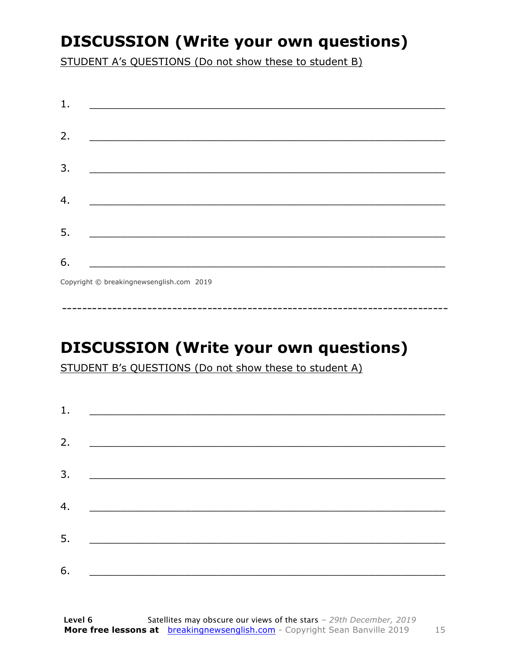### **DISCUSSION (Write your own questions)**

STUDENT A's QUESTIONS (Do not show these to student B)

| 1. | <u> 1989 - Johann Harry Harry Harry Harry Harry Harry Harry Harry Harry Harry Harry Harry Harry Harry Harry Harry</u> |  |
|----|-----------------------------------------------------------------------------------------------------------------------|--|
|    |                                                                                                                       |  |
| 2. |                                                                                                                       |  |
| 3. |                                                                                                                       |  |
|    |                                                                                                                       |  |
| 4. | <u> 1980 - Johann John Stone, mars eta biztanleria (h. 1980).</u>                                                     |  |
| 5. |                                                                                                                       |  |
|    |                                                                                                                       |  |
| 6. |                                                                                                                       |  |
|    | $\sigma$ $\cdots$ $\sigma$ $\cdots$ $\cdots$ $\cdots$ $\sigma$                                                        |  |

Copyright © breakingnewsenglish.com 2019

### **DISCUSSION (Write your own questions)**

STUDENT B's QUESTIONS (Do not show these to student A)

| 1. |                                                                                                                                                                                                                                      |  |  |
|----|--------------------------------------------------------------------------------------------------------------------------------------------------------------------------------------------------------------------------------------|--|--|
| 2. |                                                                                                                                                                                                                                      |  |  |
|    |                                                                                                                                                                                                                                      |  |  |
|    |                                                                                                                                                                                                                                      |  |  |
| 4. | <u> 1980 - Jan Stein Stein, fransk politik amerikansk politik (</u>                                                                                                                                                                  |  |  |
| 5. | <u> 1989 - Jan Stein Stein, syn y brûn yn it sjin stiet fan it ferstjer fan it ferstjer fan it ferstjer fan it f</u>                                                                                                                 |  |  |
| 6. | <u> 1980 - Johann Stoff, deutscher Stoffen und der Stoffen und der Stoffen und der Stoffen und der Stoffen und der Stoffen und der Stoffen und der Stoffen und der Stoffen und der Stoffen und der Stoffen und der Stoffen und d</u> |  |  |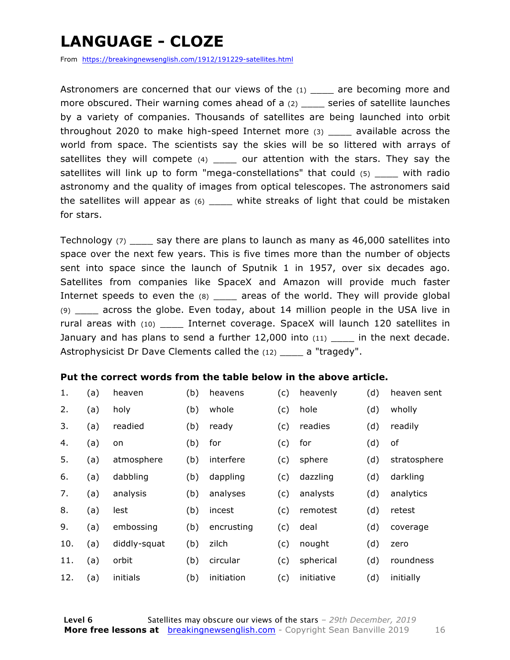### **LANGUAGE - CLOZE**

From https://breakingnewsenglish.com/1912/191229-satellites.html

Astronomers are concerned that our views of the  $(1)$  are becoming more and more obscured. Their warning comes ahead of a (2) \_\_\_\_ series of satellite launches by a variety of companies. Thousands of satellites are being launched into orbit throughout 2020 to make high-speed Internet more (3) \_\_\_\_ available across the world from space. The scientists say the skies will be so littered with arrays of satellites they will compete  $(4)$  \_\_\_\_ our attention with the stars. They say the satellites will link up to form "mega-constellations" that could (5) \_\_\_\_ with radio astronomy and the quality of images from optical telescopes. The astronomers said the satellites will appear as  $(6)$  \_\_\_\_ white streaks of light that could be mistaken for stars.

Technology  $(7)$  say there are plans to launch as many as 46,000 satellites into space over the next few years. This is five times more than the number of objects sent into space since the launch of Sputnik 1 in 1957, over six decades ago. Satellites from companies like SpaceX and Amazon will provide much faster Internet speeds to even the (8) \_\_\_\_\_ areas of the world. They will provide global  $(9)$  across the globe. Even today, about 14 million people in the USA live in rural areas with (10) \_\_\_\_\_ Internet coverage. SpaceX will launch 120 satellites in January and has plans to send a further  $12,000$  into  $(11)$  \_\_\_\_\_ in the next decade. Astrophysicist Dr Dave Clements called the (12) \_\_\_\_ a "tragedy".

#### **Put the correct words from the table below in the above article.**

| 1.  | (a) | heaven       | (b) | heavens    | (c) | heavenly   | (d) | heaven sent  |
|-----|-----|--------------|-----|------------|-----|------------|-----|--------------|
| 2.  | (a) | holy         | (b) | whole      | (c) | hole       | (d) | wholly       |
| 3.  | (a) | readied      | (b) | ready      | (c) | readies    | (d) | readily      |
| 4.  | (a) | on           | (b) | for        | (c) | for        | (d) | of           |
| 5.  | (a) | atmosphere   | (b) | interfere  | (c) | sphere     | (d) | stratosphere |
| 6.  | (a) | dabbling     | (b) | dappling   | (c) | dazzling   | (d) | darkling     |
| 7.  | (a) | analysis     | (b) | analyses   | (c) | analysts   | (d) | analytics    |
| 8.  | (a) | lest         | (b) | incest     | (c) | remotest   | (d) | retest       |
| 9.  | (a) | embossing    | (b) | encrusting | (c) | deal       | (d) | coverage     |
| 10. | (a) | diddly-squat | (b) | zilch      | (c) | nought     | (d) | zero         |
| 11. | (a) | orbit        | (b) | circular   | (c) | spherical  | (d) | roundness    |
| 12. | (a) | initials     | (b) | initiation | (c) | initiative | (d) | initially    |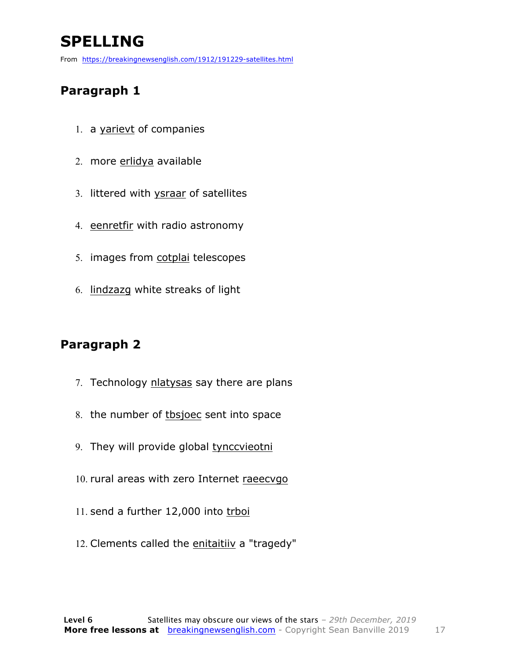### **SPELLING**

From https://breakingnewsenglish.com/1912/191229-satellites.html

#### **Paragraph 1**

- 1. a yarievt of companies
- 2. more erlidya available
- 3. littered with ysraar of satellites
- 4. eenretfir with radio astronomy
- 5. images from cotplai telescopes
- 6. lindzazg white streaks of light

#### **Paragraph 2**

- 7. Technology nlatysas say there are plans
- 8. the number of tbsjoec sent into space
- 9. They will provide global tynccvieotni
- 10. rural areas with zero Internet raeecvgo
- 11. send a further 12,000 into trboi
- 12. Clements called the enitaitiiv a "tragedy"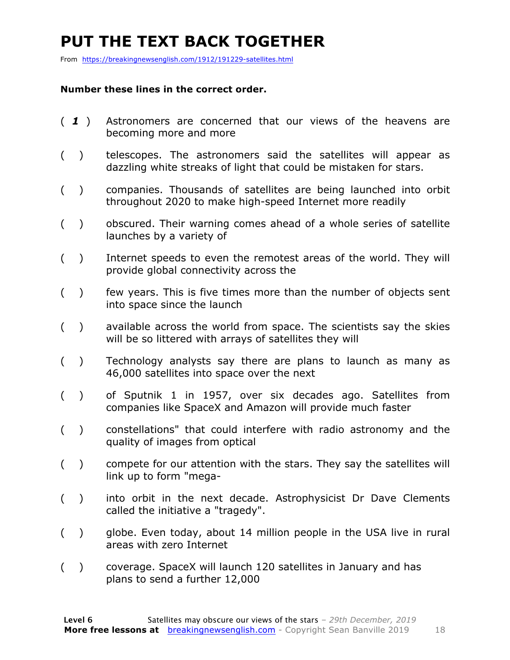### **PUT THE TEXT BACK TOGETHER**

From https://breakingnewsenglish.com/1912/191229-satellites.html

#### **Number these lines in the correct order.**

- ( *1* ) Astronomers are concerned that our views of the heavens are becoming more and more
- ( ) telescopes. The astronomers said the satellites will appear as dazzling white streaks of light that could be mistaken for stars.
- ( ) companies. Thousands of satellites are being launched into orbit throughout 2020 to make high-speed Internet more readily
- ( ) obscured. Their warning comes ahead of a whole series of satellite launches by a variety of
- ( ) Internet speeds to even the remotest areas of the world. They will provide global connectivity across the
- ( ) few years. This is five times more than the number of objects sent into space since the launch
- ( ) available across the world from space. The scientists say the skies will be so littered with arrays of satellites they will
- ( ) Technology analysts say there are plans to launch as many as 46,000 satellites into space over the next
- ( ) of Sputnik 1 in 1957, over six decades ago. Satellites from companies like SpaceX and Amazon will provide much faster
- ( ) constellations" that could interfere with radio astronomy and the quality of images from optical
- ( ) compete for our attention with the stars. They say the satellites will link up to form "mega-
- ( ) into orbit in the next decade. Astrophysicist Dr Dave Clements called the initiative a "tragedy".
- ( ) globe. Even today, about 14 million people in the USA live in rural areas with zero Internet
- ( ) coverage. SpaceX will launch 120 satellites in January and has plans to send a further 12,000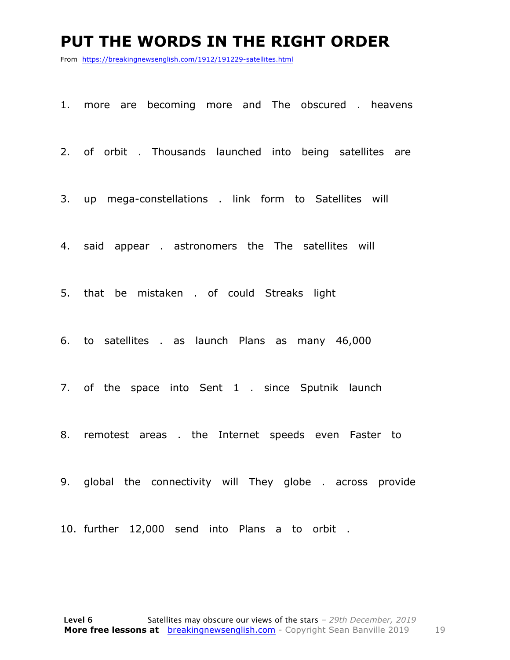#### **PUT THE WORDS IN THE RIGHT ORDER**

From https://breakingnewsenglish.com/1912/191229-satellites.html

1. more are becoming more and The obscured . heavens

2. of orbit . Thousands launched into being satellites are

3. up mega-constellations . link form to Satellites will

4. said appear . astronomers the The satellites will

5. that be mistaken . of could Streaks light

6. to satellites . as launch Plans as many 46,000

7. of the space into Sent 1 . since Sputnik launch

8. remotest areas . the Internet speeds even Faster to

9. global the connectivity will They globe . across provide

10. further 12,000 send into Plans a to orbit .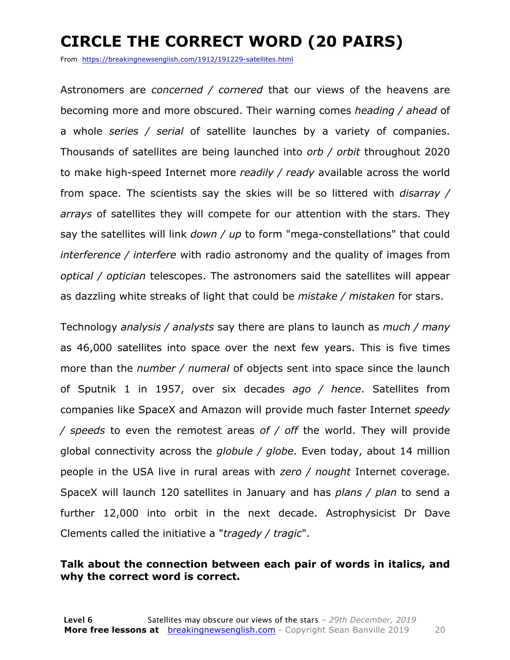### **CIRCLE THE CORRECT WORD (20 PAIRS)**

From https://breakingnewsenglish.com/1912/191229-satellites.html

Astronomers are *concerned / cornered* that our views of the heavens are becoming more and more obscured. Their warning comes *heading / ahead* of a whole *series / serial* of satellite launches by a variety of companies. Thousands of satellites are being launched into *orb / orbit* throughout 2020 to make high-speed Internet more *readily / ready* available across the world from space. The scientists say the skies will be so littered with *disarray / arrays* of satellites they will compete for our attention with the stars. They say the satellites will link *down / up* to form "mega-constellations" that could *interference / interfere* with radio astronomy and the quality of images from *optical / optician* telescopes. The astronomers said the satellites will appear as dazzling white streaks of light that could be *mistake / mistaken* for stars.

Technology *analysis / analysts* say there are plans to launch as *much / many* as 46,000 satellites into space over the next few years. This is five times more than the *number / numeral* of objects sent into space since the launch of Sputnik 1 in 1957, over six decades *ago / hence*. Satellites from companies like SpaceX and Amazon will provide much faster Internet *speedy / speeds* to even the remotest areas *of / off* the world. They will provide global connectivity across the *globule / globe*. Even today, about 14 million people in the USA live in rural areas with *zero / nought* Internet coverage. SpaceX will launch 120 satellites in January and has *plans / plan* to send a further 12,000 into orbit in the next decade. Astrophysicist Dr Dave Clements called the initiative a "*tragedy / tragic*".

#### **Talk about the connection between each pair of words in italics, and why the correct word is correct.**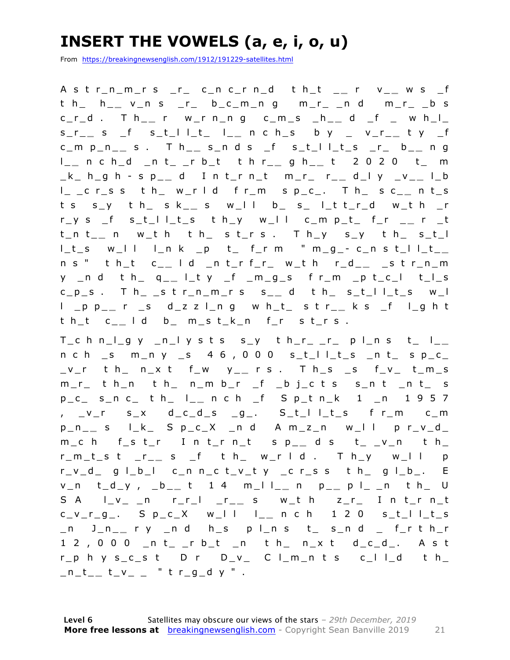### **INSERT THE VOWELS (a, e, i, o, u)**

From https://breakingnewsenglish.com/1912/191229-satellites.html

A s t r\_n\_m\_r s \_r\_ c\_n c\_r n\_d t h\_t \_ **\_** r v\_ **\_** w s \_f t h\_ h\_ **\_** v\_n s \_r\_ b\_c\_m\_n g m\_r\_ \_n d m\_r\_ \_b s c\_r\_d . T h\_ **\_** r w\_r n\_n g c\_m\_s \_h\_ **\_** d \_f \_ w h\_l\_ s\_r\_ **\_** s \_f s\_t\_l l\_t\_ l\_ **\_** n c h\_s b y \_ v\_r\_ **\_** t y \_f c\_m p\_n\_ **\_** s . T h\_ **\_** s\_n d s \_f s\_t\_l l\_t\_s \_r\_ b\_ **\_** n g l \_ **\_** n c h\_d \_n t\_ \_r b\_t t h r\_ **\_** g h\_ **\_** t 2 0 2 0 t\_ m \_ k \_ h\_g h - s p\_ **\_** d I n t\_r n\_t m\_r\_ r\_ **\_** d\_l y \_v\_ **\_** l\_b l\_ \_c r\_s s t h\_ w\_r l d f r\_m s p\_c\_. T h\_ s c\_ **\_** n t\_s t s s\_y t h\_ s k\_ **\_** s w\_l l b\_ s\_ l\_t t\_r\_d w\_t h \_r r\_y s \_f s\_t\_l l\_t\_s t h\_y w\_l l c\_m p\_t\_ f\_r \_ **\_** r \_t t\_n t\_ **\_** n w\_t h t h\_ s t\_r s . T h\_y s\_y t h\_ s\_t\_l  $l_t$ s w\_l l l\_n k \_p t\_ f\_r m " m\_g\_- c\_n s t\_l l\_t\_\_ n s " t h\_t c\_ **\_** l d \_n t\_r f\_r\_ w\_t h r\_d\_ **\_** \_s t r\_n\_m y \_n d t h\_ q\_ **\_** l\_t y \_f \_m\_g\_s f r\_m \_p t\_c\_ l t\_l\_s c\_p\_s . T h\_ \_s t r\_n\_m\_r s s\_ **\_** d t h\_ s\_t\_l l\_t\_s w\_l l \_p p\_ **\_** r \_s d\_z z l\_n g w h\_t\_ s t r\_ **\_** k s \_f l\_g h t t h\_t c\_ **\_** l d b\_ m\_s t\_k\_n f\_r s t\_r s .

 $T_c$  h n\_l\_g y \_n\_l y s t s s\_y t h\_r\_ \_r\_ p l\_n s t\_ l\_\_  $n c h$  \_s  $m_n v$  \_s 4 6 , 0 0 0 s\_t\_l l\_t\_s \_n t\_ s p\_c\_ \_v\_r t h\_ n\_x t f\_w y\_ **\_** r s . T h\_s \_s f\_v\_ t\_m\_s m\_r\_ t h\_n t h\_ n\_m b\_r \_f \_b j\_c t s s\_n t \_n t\_ s p\_c\_ s\_n c\_ t h\_ l\_ **\_** n c h \_f S p\_t n\_k 1 \_n 1 9 5 7 , \_v\_r s\_x d\_c\_d\_s \_g\_. S\_t\_l l\_t\_s f r\_m c\_m p\_n\_ **\_** s l\_k\_ S p\_c\_X \_n d A m\_z\_n w\_l l p r\_v\_d\_ m\_c h f\_s t\_r I n t\_r n\_t s p\_ **\_** d s t\_ \_v\_n t h\_ r\_m\_t\_s t \_r\_ **\_** s \_f t h\_ w\_r l d . T h\_y w\_l l p  $r_v_d$  g  $l_b$  c\_n n\_c t\_v\_t y \_c r\_s s t h\_ g  $l_b$ . E v\_n t\_d\_y , \_b\_ **\_** t 1 4 m\_l l\_ **\_** n p\_ **\_** p l\_ \_n t h\_ U S A l\_v\_ \_n r\_r\_l \_r\_ **\_** s w\_t h z\_r\_ I n t\_r n\_t c\_v\_r\_g\_. S p\_c\_X w\_l l l\_ **\_** n c h 1 2 0 s\_t\_l l\_t\_s \_n J\_n\_ **\_** r y \_n d h\_s p l\_n s t\_ s\_n d \_ f\_r t h\_r  $1 2$ , 0 0 0  $_n t_{-1} t_{-1}$  t  $_n t_{-1}$  t  $_{n} t_{-1}$  t  $_{n} t_{-1}$  d  $_{n} t_{-1}$  as t  $r_p$  h y s\_c\_s t D r D\_v\_ C l\_m\_n t s c\_l l\_d t h\_ \_n\_t\_ **\_** t\_v\_ \_ " t r\_g\_d y " .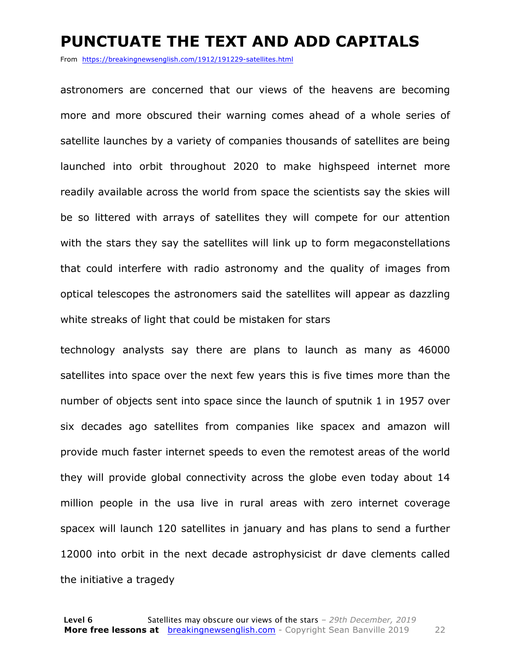#### **PUNCTUATE THE TEXT AND ADD CAPITALS**

From https://breakingnewsenglish.com/1912/191229-satellites.html

astronomers are concerned that our views of the heavens are becoming more and more obscured their warning comes ahead of a whole series of satellite launches by a variety of companies thousands of satellites are being launched into orbit throughout 2020 to make highspeed internet more readily available across the world from space the scientists say the skies will be so littered with arrays of satellites they will compete for our attention with the stars they say the satellites will link up to form megaconstellations that could interfere with radio astronomy and the quality of images from optical telescopes the astronomers said the satellites will appear as dazzling white streaks of light that could be mistaken for stars

technology analysts say there are plans to launch as many as 46000 satellites into space over the next few years this is five times more than the number of objects sent into space since the launch of sputnik 1 in 1957 over six decades ago satellites from companies like spacex and amazon will provide much faster internet speeds to even the remotest areas of the world they will provide global connectivity across the globe even today about 14 million people in the usa live in rural areas with zero internet coverage spacex will launch 120 satellites in january and has plans to send a further 12000 into orbit in the next decade astrophysicist dr dave clements called the initiative a tragedy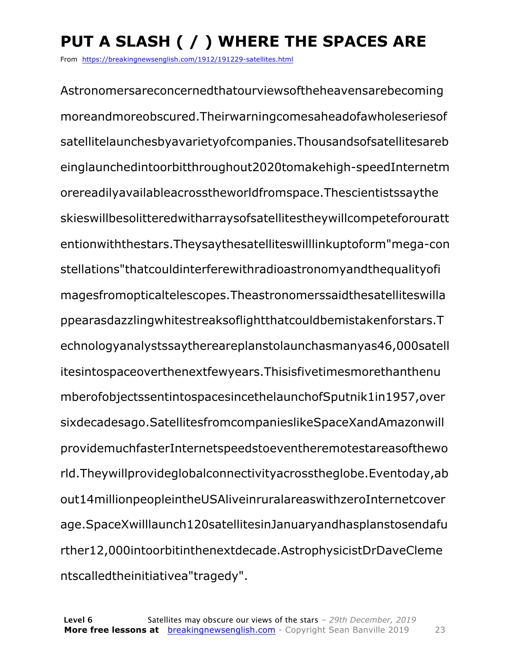## **PUT A SLASH ( / ) WHERE THE SPACES ARE**

From https://breakingnewsenglish.com/1912/191229-satellites.html

Astronomersareconcernedthatourviewsoftheheavensarebecoming moreandmoreobscured.Theirwarningcomesaheadofawholeseriesof satellitelaunchesbyavarietyofcompanies.Thousandsofsatellitesareb einglaunchedintoorbitthroughout2020tomakehigh-speedInternetm orereadilyavailableacrosstheworldfromspace.Thescientistssaythe skieswillbesolitteredwitharraysofsatellitestheywillcompeteforouratt entionwiththestars.Theysaythesatelliteswilllinkuptoform"mega-con stellations"thatcouldinterferewithradioastronomyandthequalityofi magesfromopticaltelescopes.Theastronomerssaidthesatelliteswilla ppearasdazzlingwhitestreaksoflightthatcouldbemistakenforstars.T echnologyanalystssaythereareplanstolaunchasmanyas46,000satell itesintospaceoverthenextfewyears.Thisisfivetimesmorethanthenu mberofobjectssentintospacesincethelaunchofSputnik1in1957,over sixdecadesago.SatellitesfromcompanieslikeSpaceXandAmazonwill providemuchfasterInternetspeedstoeventheremotestareasofthewo rld.Theywillprovideglobalconnectivityacrosstheglobe.Eventoday,ab out14millionpeopleintheUSAliveinruralareaswithzeroInternetcover age.SpaceXwilllaunch120satellitesinJanuaryandhasplanstosendafu rther12,000intoorbitinthenextdecade.AstrophysicistDrDaveCleme ntscalledtheinitiativea"tragedy".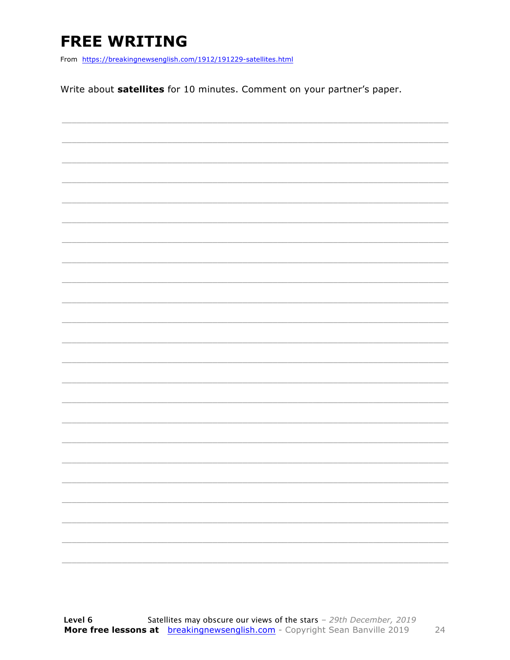### **FREE WRITING**

From https://breakingnewsenglish.com/1912/191229-satellites.html

Write about satellites for 10 minutes. Comment on your partner's paper.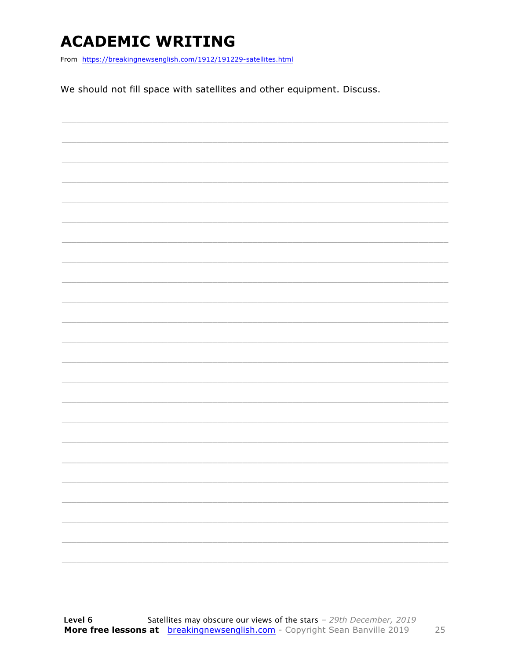### **ACADEMIC WRITING**

From https://breakingnewsenglish.com/1912/191229-satellites.html

We should not fill space with satellites and other equipment. Discuss.

|  |  | $\overline{\phantom{0}}$ |
|--|--|--------------------------|
|  |  | ___                      |
|  |  |                          |
|  |  |                          |
|  |  |                          |
|  |  |                          |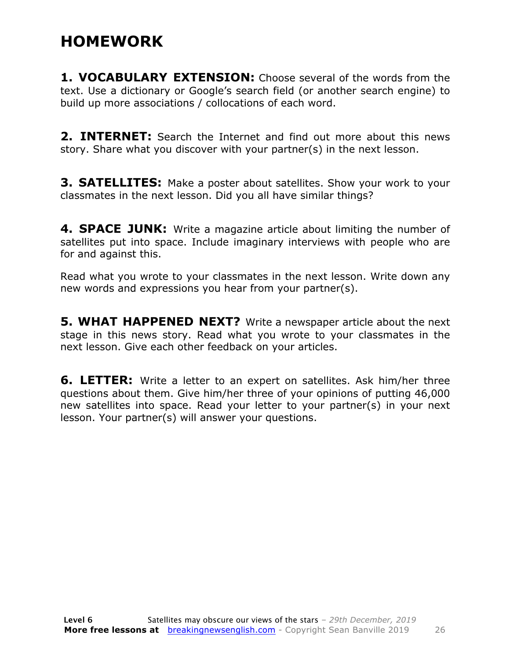### **HOMEWORK**

**1. VOCABULARY EXTENSION:** Choose several of the words from the text. Use a dictionary or Google's search field (or another search engine) to build up more associations / collocations of each word.

**2. INTERNET:** Search the Internet and find out more about this news story. Share what you discover with your partner(s) in the next lesson.

**3. SATELLITES:** Make a poster about satellites. Show your work to your classmates in the next lesson. Did you all have similar things?

**4. SPACE JUNK:** Write a magazine article about limiting the number of satellites put into space. Include imaginary interviews with people who are for and against this.

Read what you wrote to your classmates in the next lesson. Write down any new words and expressions you hear from your partner(s).

**5. WHAT HAPPENED NEXT?** Write a newspaper article about the next stage in this news story. Read what you wrote to your classmates in the next lesson. Give each other feedback on your articles.

**6. LETTER:** Write a letter to an expert on satellites. Ask him/her three questions about them. Give him/her three of your opinions of putting 46,000 new satellites into space. Read your letter to your partner(s) in your next lesson. Your partner(s) will answer your questions.